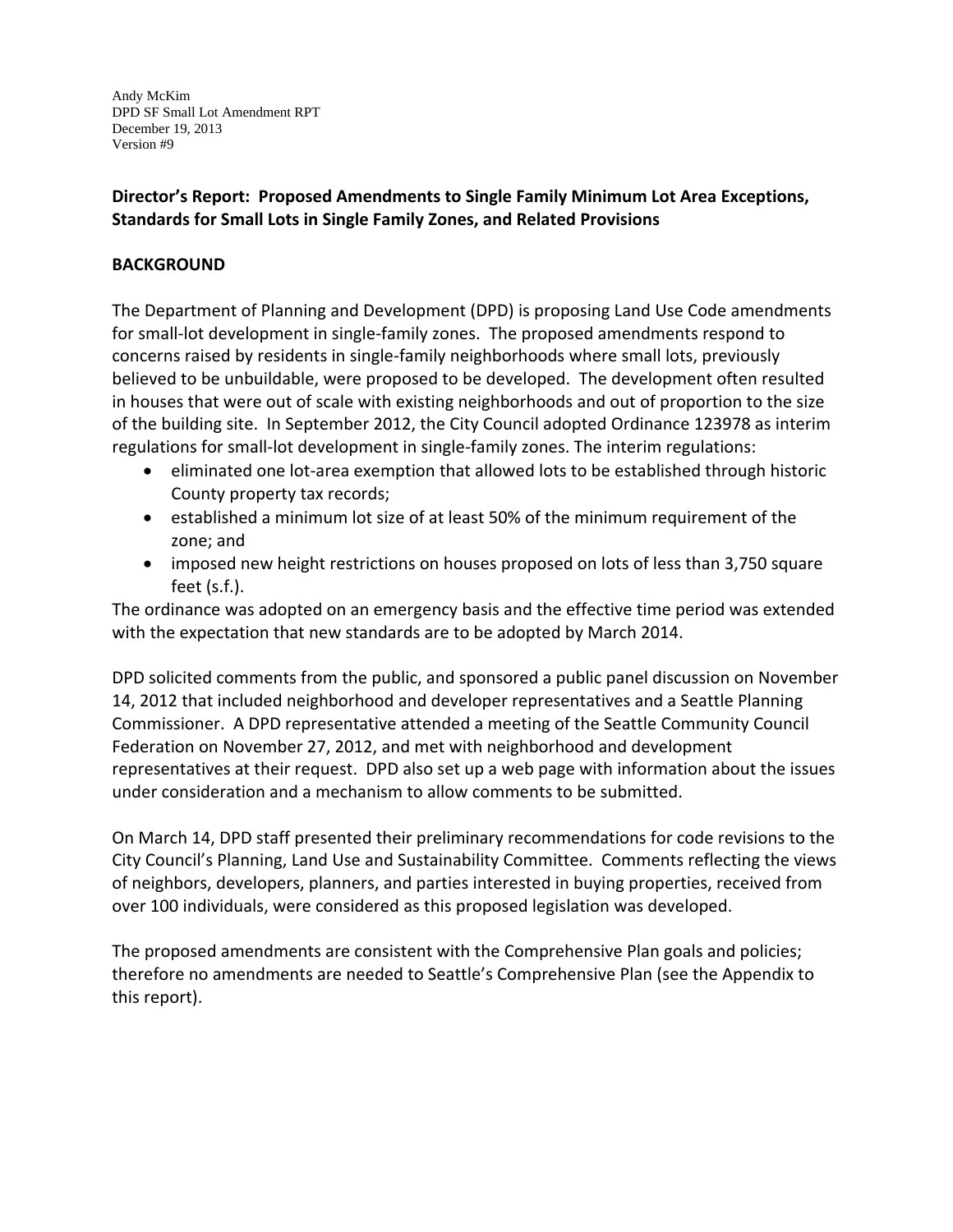Andy McKim DPD SF Small Lot Amendment RPT December 19, 2013 Version #9

#### **Director's Report: Proposed Amendments to Single Family Minimum Lot Area Exceptions, Standards for Small Lots in Single Family Zones, and Related Provisions**

#### **BACKGROUND**

The Department of Planning and Development (DPD) is proposing Land Use Code amendments for small-lot development in single-family zones. The proposed amendments respond to concerns raised by residents in single‐family neighborhoods where small lots, previously believed to be unbuildable, were proposed to be developed. The development often resulted in houses that were out of scale with existing neighborhoods and out of proportion to the size of the building site. In September 2012, the City Council adopted Ordinance 123978 as interim regulations for small‐lot development in single‐family zones. The interim regulations:

- eliminated one lot-area exemption that allowed lots to be established through historic County property tax records;
- established a minimum lot size of at least 50% of the minimum requirement of the zone; and
- imposed new height restrictions on houses proposed on lots of less than 3,750 square feet (s.f.).

The ordinance was adopted on an emergency basis and the effective time period was extended with the expectation that new standards are to be adopted by March 2014.

DPD solicited comments from the public, and sponsored a public panel discussion on November 14, 2012 that included neighborhood and developer representatives and a Seattle Planning Commissioner. A DPD representative attended a meeting of the Seattle Community Council Federation on November 27, 2012, and met with neighborhood and development representatives at their request. DPD also set up a web page with information about the issues under consideration and a mechanism to allow comments to be submitted.

On March 14, DPD staff presented their preliminary recommendations for code revisions to the City Council's Planning, Land Use and Sustainability Committee. Comments reflecting the views of neighbors, developers, planners, and parties interested in buying properties, received from over 100 individuals, were considered as this proposed legislation was developed.

The proposed amendments are consistent with the Comprehensive Plan goals and policies; therefore no amendments are needed to Seattle's Comprehensive Plan (see the Appendix to this report).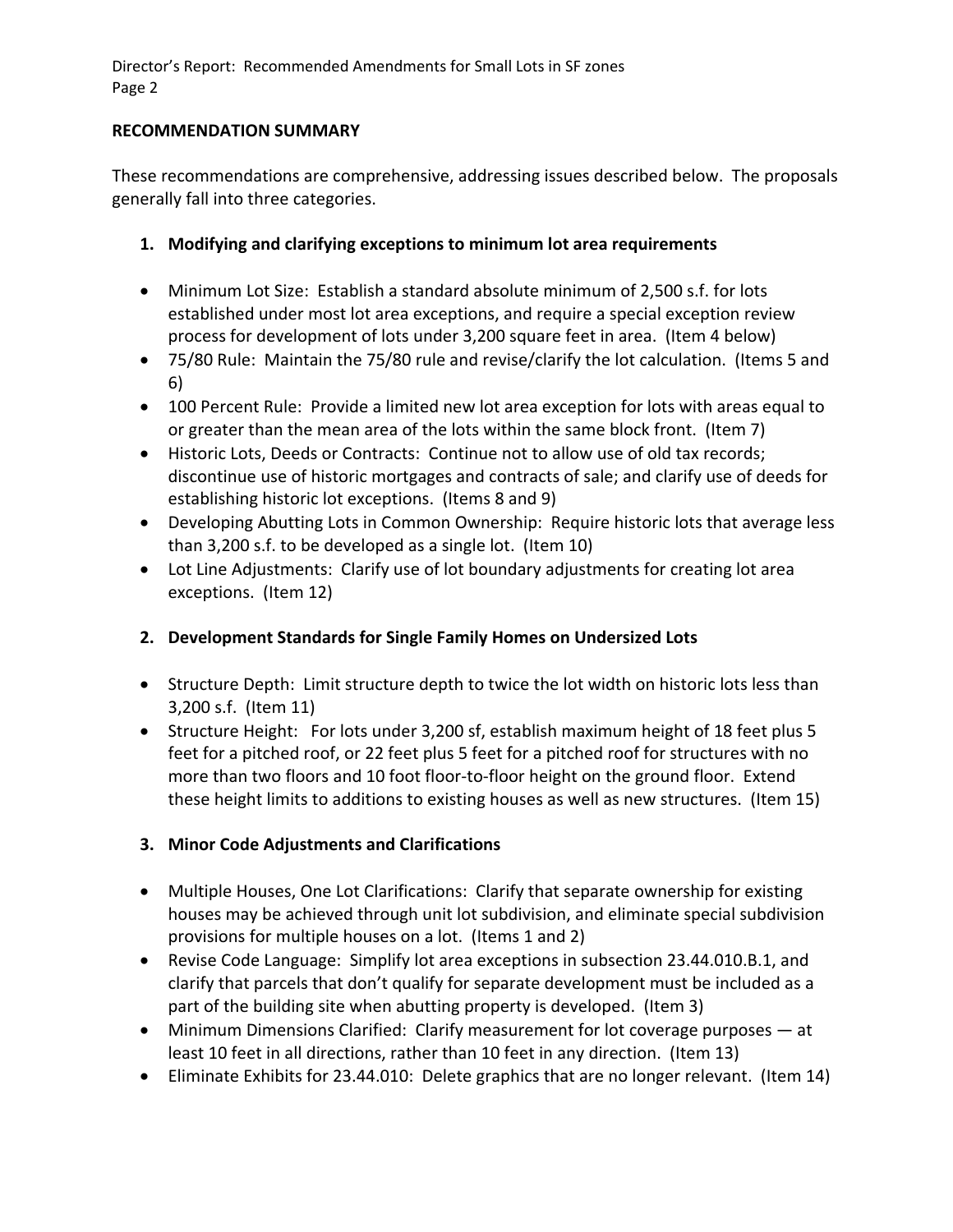#### **RECOMMENDATION SUMMARY**

These recommendations are comprehensive, addressing issues described below. The proposals generally fall into three categories.

- **1. Modifying and clarifying exceptions to minimum lot area requirements**
- Minimum Lot Size: Establish a standard absolute minimum of 2,500 s.f. for lots established under most lot area exceptions, and require a special exception review process for development of lots under 3,200 square feet in area. (Item 4 below)
- 75/80 Rule: Maintain the 75/80 rule and revise/clarify the lot calculation. (Items 5 and 6)
- 100 Percent Rule: Provide a limited new lot area exception for lots with areas equal to or greater than the mean area of the lots within the same block front. (Item 7)
- Historic Lots, Deeds or Contracts: Continue not to allow use of old tax records; discontinue use of historic mortgages and contracts of sale; and clarify use of deeds for establishing historic lot exceptions. (Items 8 and 9)
- Developing Abutting Lots in Common Ownership: Require historic lots that average less than 3,200 s.f. to be developed as a single lot. (Item 10)
- Lot Line Adjustments: Clarify use of lot boundary adjustments for creating lot area exceptions. (Item 12)

# **2. Development Standards for Single Family Homes on Undersized Lots**

- Structure Depth: Limit structure depth to twice the lot width on historic lots less than 3,200 s.f. (Item 11)
- Structure Height: For lots under 3,200 sf, establish maximum height of 18 feet plus 5 feet for a pitched roof, or 22 feet plus 5 feet for a pitched roof for structures with no more than two floors and 10 foot floor-to-floor height on the ground floor. Extend these height limits to additions to existing houses as well as new structures. (Item 15)

# **3. Minor Code Adjustments and Clarifications**

- Multiple Houses, One Lot Clarifications: Clarify that separate ownership for existing houses may be achieved through unit lot subdivision, and eliminate special subdivision provisions for multiple houses on a lot. (Items 1 and 2)
- Revise Code Language: Simplify lot area exceptions in subsection 23.44.010.B.1, and clarify that parcels that don't qualify for separate development must be included as a part of the building site when abutting property is developed. (Item 3)
- Minimum Dimensions Clarified: Clarify measurement for lot coverage purposes at least 10 feet in all directions, rather than 10 feet in any direction. (Item 13)
- Eliminate Exhibits for 23.44.010: Delete graphics that are no longer relevant. (Item 14)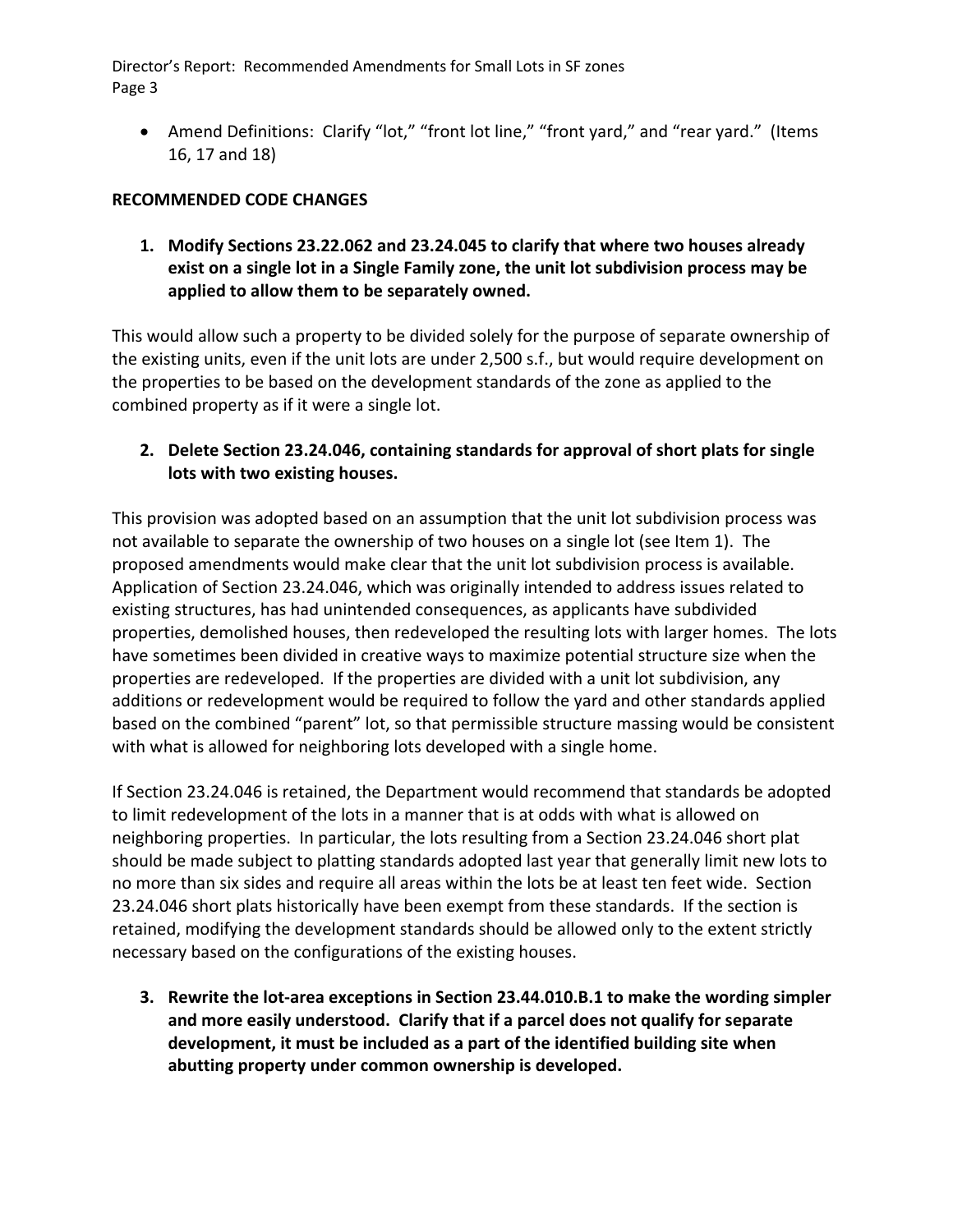• Amend Definitions: Clarify "lot," "front lot line," "front yard," and "rear yard." (Items 16, 17 and 18)

#### **RECOMMENDED CODE CHANGES**

**1. Modify Sections 23.22.062 and 23.24.045 to clarify that where two houses already exist on a single lot in a Single Family zone, the unit lot subdivision process may be applied to allow them to be separately owned.**

This would allow such a property to be divided solely for the purpose of separate ownership of the existing units, even if the unit lots are under 2,500 s.f., but would require development on the properties to be based on the development standards of the zone as applied to the combined property as if it were a single lot.

# **2. Delete Section 23.24.046, containing standards for approval of short plats for single lots with two existing houses.**

This provision was adopted based on an assumption that the unit lot subdivision process was not available to separate the ownership of two houses on a single lot (see Item 1). The proposed amendments would make clear that the unit lot subdivision process is available. Application of Section 23.24.046, which was originally intended to address issues related to existing structures, has had unintended consequences, as applicants have subdivided properties, demolished houses, then redeveloped the resulting lots with larger homes. The lots have sometimes been divided in creative ways to maximize potential structure size when the properties are redeveloped. If the properties are divided with a unit lot subdivision, any additions or redevelopment would be required to follow the yard and other standards applied based on the combined "parent" lot, so that permissible structure massing would be consistent with what is allowed for neighboring lots developed with a single home.

If Section 23.24.046 is retained, the Department would recommend that standards be adopted to limit redevelopment of the lots in a manner that is at odds with what is allowed on neighboring properties. In particular, the lots resulting from a Section 23.24.046 short plat should be made subject to platting standards adopted last year that generally limit new lots to no more than six sides and require all areas within the lots be at least ten feet wide. Section 23.24.046 short plats historically have been exempt from these standards. If the section is retained, modifying the development standards should be allowed only to the extent strictly necessary based on the configurations of the existing houses.

**3. Rewrite the lot‐area exceptions in Section 23.44.010.B.1 to make the wording simpler and more easily understood. Clarify that if a parcel does not qualify for separate development, it must be included as a part of the identified building site when abutting property under common ownership is developed.**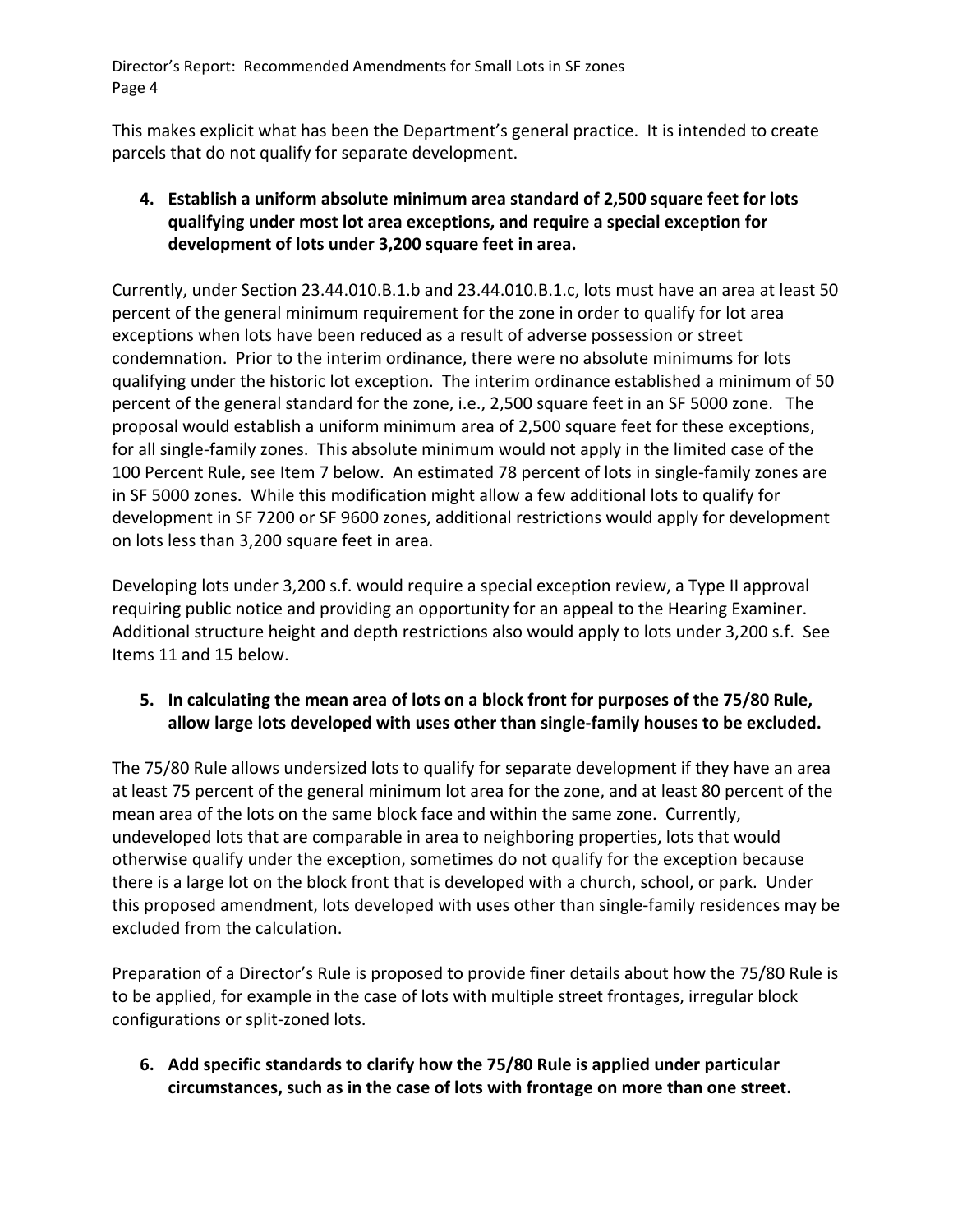This makes explicit what has been the Department's general practice. It is intended to create parcels that do not qualify for separate development.

## **4. Establish a uniform absolute minimum area standard of 2,500 square feet for lots qualifying under most lot area exceptions, and require a special exception for development of lots under 3,200 square feet in area.**

Currently, under Section 23.44.010.B.1.b and 23.44.010.B.1.c, lots must have an area at least 50 percent of the general minimum requirement for the zone in order to qualify for lot area exceptions when lots have been reduced as a result of adverse possession or street condemnation. Prior to the interim ordinance, there were no absolute minimums for lots qualifying under the historic lot exception. The interim ordinance established a minimum of 50 percent of the general standard for the zone, i.e., 2,500 square feet in an SF 5000 zone. The proposal would establish a uniform minimum area of 2,500 square feet for these exceptions, for all single‐family zones. This absolute minimum would not apply in the limited case of the 100 Percent Rule, see Item 7 below. An estimated 78 percent of lots in single-family zones are in SF 5000 zones. While this modification might allow a few additional lots to qualify for development in SF 7200 or SF 9600 zones, additional restrictions would apply for development on lots less than 3,200 square feet in area.

Developing lots under 3,200 s.f. would require a special exception review, a Type II approval requiring public notice and providing an opportunity for an appeal to the Hearing Examiner. Additional structure height and depth restrictions also would apply to lots under 3,200 s.f. See Items 11 and 15 below.

## **5. In calculating the mean area of lots on a block front for purposes of the 75/80 Rule, allow large lots developed with uses other than single‐family houses to be excluded.**

The 75/80 Rule allows undersized lots to qualify for separate development if they have an area at least 75 percent of the general minimum lot area for the zone, and at least 80 percent of the mean area of the lots on the same block face and within the same zone. Currently, undeveloped lots that are comparable in area to neighboring properties, lots that would otherwise qualify under the exception, sometimes do not qualify for the exception because there is a large lot on the block front that is developed with a church, school, or park. Under this proposed amendment, lots developed with uses other than single‐family residences may be excluded from the calculation.

Preparation of a Director's Rule is proposed to provide finer details about how the 75/80 Rule is to be applied, for example in the case of lots with multiple street frontages, irregular block configurations or split‐zoned lots.

**6. Add specific standards to clarify how the 75/80 Rule is applied under particular circumstances, such as in the case of lots with frontage on more than one street.**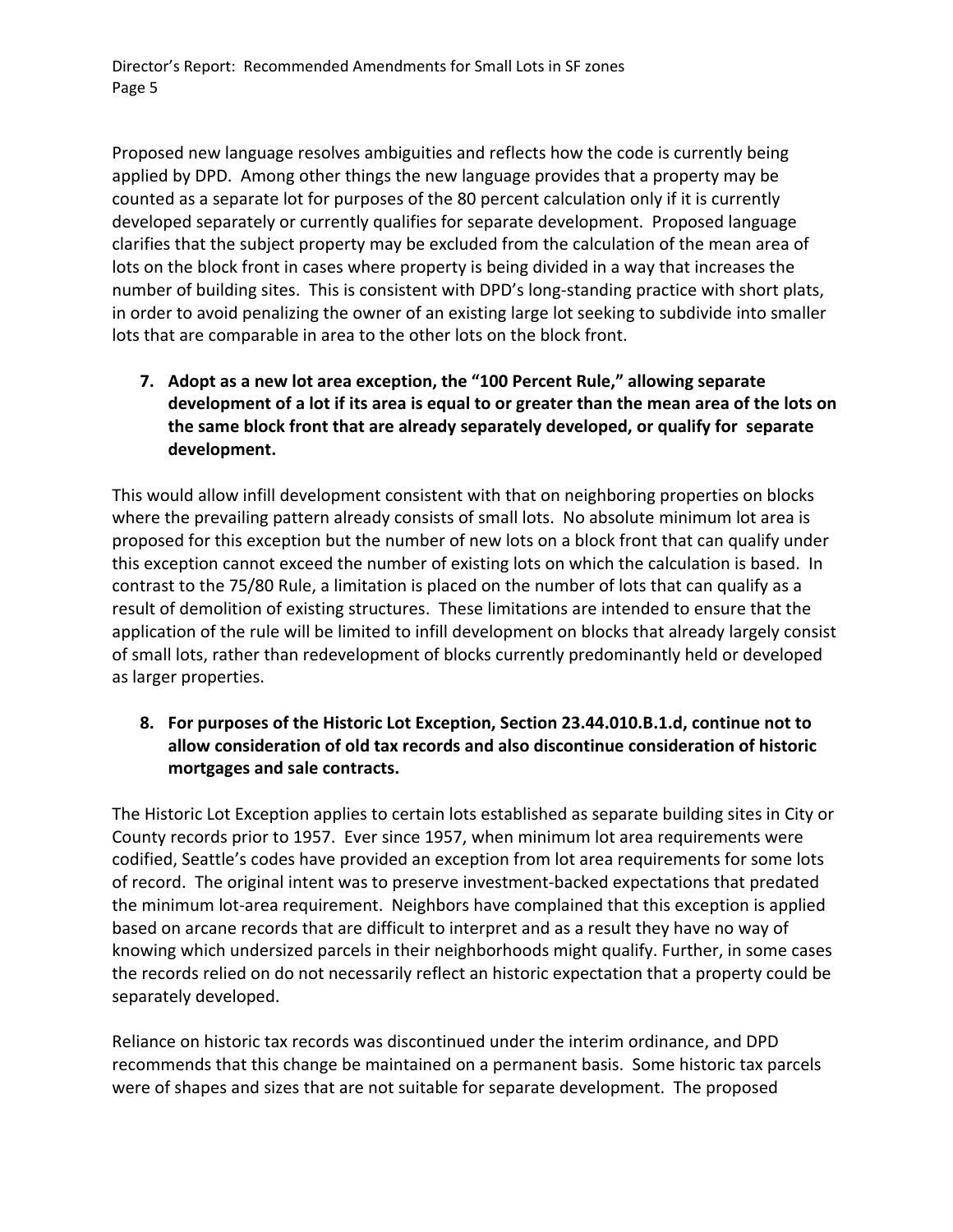Proposed new language resolves ambiguities and reflects how the code is currently being applied by DPD. Among other things the new language provides that a property may be counted as a separate lot for purposes of the 80 percent calculation only if it is currently developed separately or currently qualifies for separate development. Proposed language clarifies that the subject property may be excluded from the calculation of the mean area of lots on the block front in cases where property is being divided in a way that increases the number of building sites. This is consistent with DPD's long-standing practice with short plats, in order to avoid penalizing the owner of an existing large lot seeking to subdivide into smaller lots that are comparable in area to the other lots on the block front.

**7. Adopt as a new lot area exception, the "100 Percent Rule," allowing separate** development of a lot if its area is equal to or greater than the mean area of the lots on **the same block front that are already separately developed, or qualify for separate development.**

This would allow infill development consistent with that on neighboring properties on blocks where the prevailing pattern already consists of small lots. No absolute minimum lot area is proposed for this exception but the number of new lots on a block front that can qualify under this exception cannot exceed the number of existing lots on which the calculation is based. In contrast to the 75/80 Rule, a limitation is placed on the number of lots that can qualify as a result of demolition of existing structures. These limitations are intended to ensure that the application of the rule will be limited to infill development on blocks that already largely consist of small lots, rather than redevelopment of blocks currently predominantly held or developed as larger properties.

## **8. For purposes of the Historic Lot Exception, Section 23.44.010.B.1.d, continue not to allow consideration of old tax records and also discontinue consideration of historic mortgages and sale contracts.**

The Historic Lot Exception applies to certain lots established as separate building sites in City or County records prior to 1957. Ever since 1957, when minimum lot area requirements were codified, Seattle's codes have provided an exception from lot area requirements for some lots of record. The original intent was to preserve investment‐backed expectations that predated the minimum lot-area requirement. Neighbors have complained that this exception is applied based on arcane records that are difficult to interpret and as a result they have no way of knowing which undersized parcels in their neighborhoods might qualify. Further, in some cases the records relied on do not necessarily reflect an historic expectation that a property could be separately developed.

Reliance on historic tax records was discontinued under the interim ordinance, and DPD recommends that this change be maintained on a permanent basis. Some historic tax parcels were of shapes and sizes that are not suitable for separate development. The proposed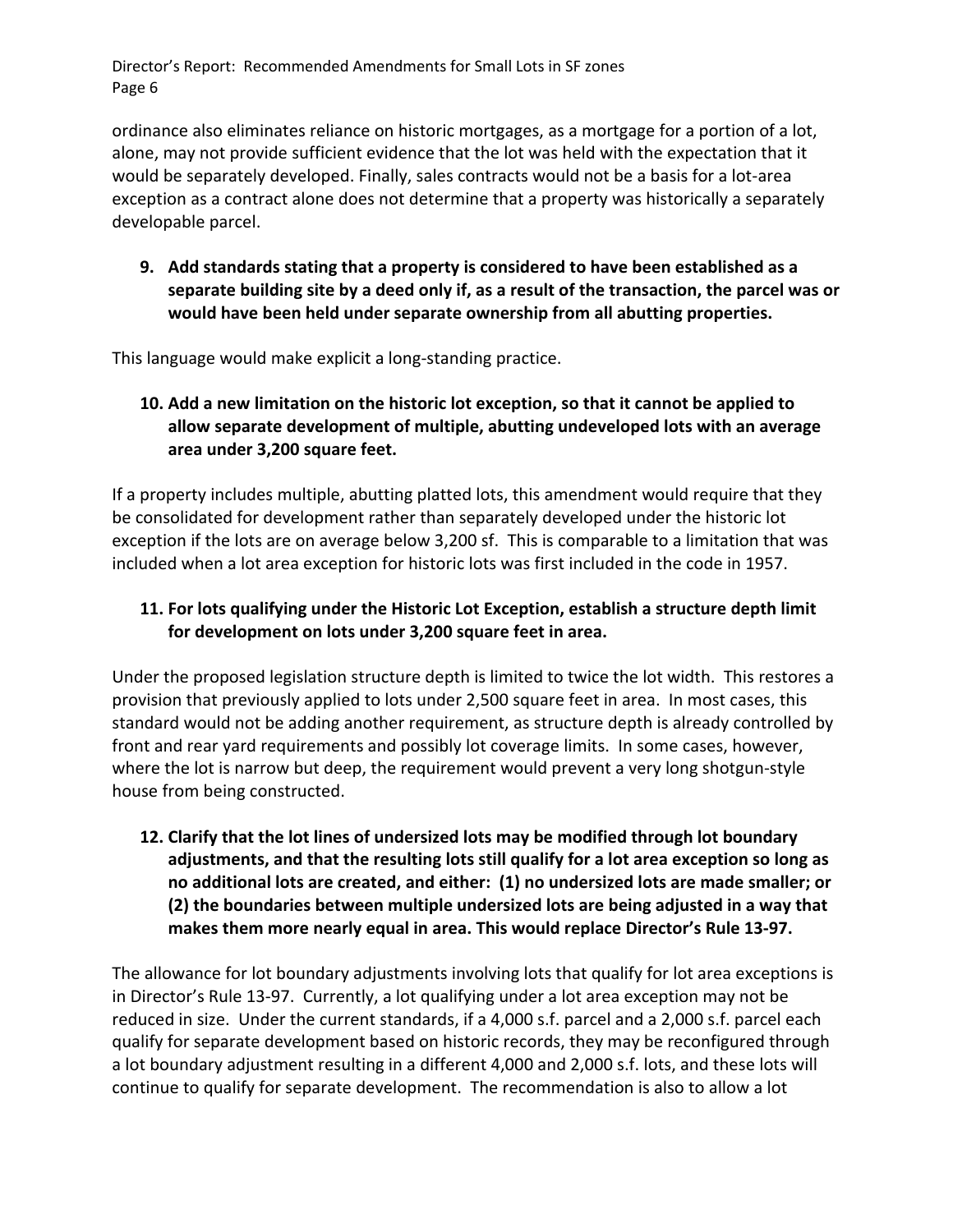ordinance also eliminates reliance on historic mortgages, as a mortgage for a portion of a lot, alone, may not provide sufficient evidence that the lot was held with the expectation that it would be separately developed. Finally, sales contracts would not be a basis for a lot‐area exception as a contract alone does not determine that a property was historically a separately developable parcel.

**9. Add standards stating that a property is considered to have been established as a separate building site by a deed only if, as a result of the transaction, the parcel was or would have been held under separate ownership from all abutting properties.**

This language would make explicit a long‐standing practice.

**10. Add a new limitation on the historic lot exception, so that it cannot be applied to allow separate development of multiple, abutting undeveloped lots with an average area under 3,200 square feet.**

If a property includes multiple, abutting platted lots, this amendment would require that they be consolidated for development rather than separately developed under the historic lot exception if the lots are on average below 3,200 sf. This is comparable to a limitation that was included when a lot area exception for historic lots was first included in the code in 1957.

## **11. For lots qualifying under the Historic Lot Exception, establish a structure depth limit for development on lots under 3,200 square feet in area.**

Under the proposed legislation structure depth is limited to twice the lot width. This restores a provision that previously applied to lots under 2,500 square feet in area. In most cases, this standard would not be adding another requirement, as structure depth is already controlled by front and rear yard requirements and possibly lot coverage limits. In some cases, however, where the lot is narrow but deep, the requirement would prevent a very long shotgun-style house from being constructed.

**12. Clarify that the lot lines of undersized lots may be modified through lot boundary adjustments, and that the resulting lots still qualify for a lot area exception so long as no additional lots are created, and either: (1) no undersized lots are made smaller; or (2) the boundaries between multiple undersized lots are being adjusted in a way that makes them more nearly equal in area. This would replace Director's Rule 13‐97.**

The allowance for lot boundary adjustments involving lots that qualify for lot area exceptions is in Director's Rule 13‐97. Currently, a lot qualifying under a lot area exception may not be reduced in size. Under the current standards, if a 4,000 s.f. parcel and a 2,000 s.f. parcel each qualify for separate development based on historic records, they may be reconfigured through a lot boundary adjustment resulting in a different 4,000 and 2,000 s.f. lots, and these lots will continue to qualify for separate development. The recommendation is also to allow a lot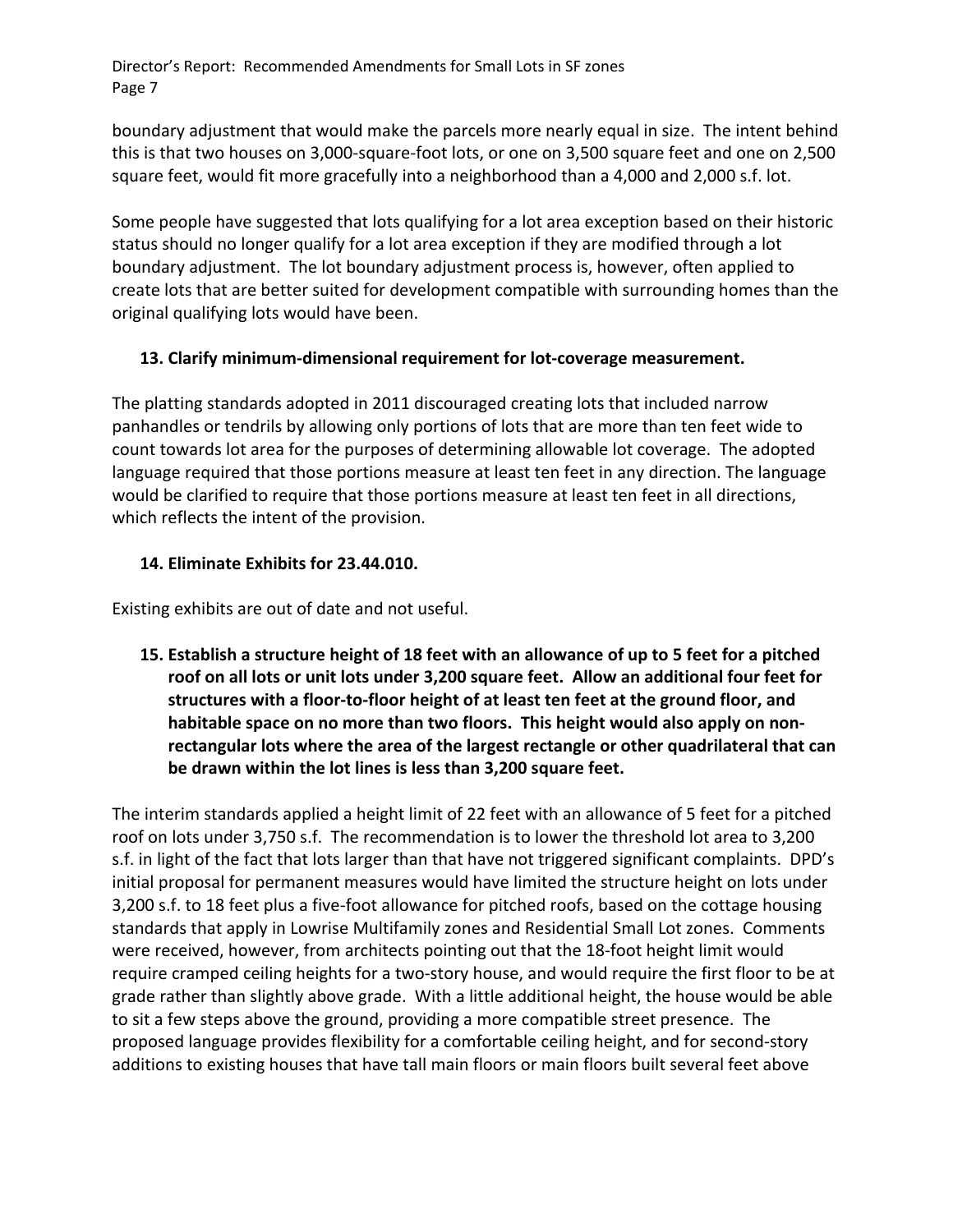boundary adjustment that would make the parcels more nearly equal in size. The intent behind this is that two houses on 3,000‐square‐foot lots, or one on 3,500 square feet and one on 2,500 square feet, would fit more gracefully into a neighborhood than a 4,000 and 2,000 s.f. lot.

Some people have suggested that lots qualifying for a lot area exception based on their historic status should no longer qualify for a lot area exception if they are modified through a lot boundary adjustment. The lot boundary adjustment process is, however, often applied to create lots that are better suited for development compatible with surrounding homes than the original qualifying lots would have been.

## **13. Clarify minimum‐dimensional requirement for lot‐coverage measurement.**

The platting standards adopted in 2011 discouraged creating lots that included narrow panhandles or tendrils by allowing only portions of lots that are more than ten feet wide to count towards lot area for the purposes of determining allowable lot coverage. The adopted language required that those portions measure at least ten feet in any direction. The language would be clarified to require that those portions measure at least ten feet in all directions, which reflects the intent of the provision.

## **14. Eliminate Exhibits for 23.44.010.**

Existing exhibits are out of date and not useful.

**15. Establish a structure height of 18 feet with an allowance of up to 5 feet for a pitched roof on all lots or unit lots under 3,200 square feet. Allow an additional four feet for structures with a floor‐to‐floor height of at least ten feet at the ground floor, and habitable space on no more than two floors. This height would also apply on non‐ rectangular lots where the area of the largest rectangle or other quadrilateral that can be drawn within the lot lines is less than 3,200 square feet.**

The interim standards applied a height limit of 22 feet with an allowance of 5 feet for a pitched roof on lots under 3,750 s.f. The recommendation is to lower the threshold lot area to 3,200 s.f. in light of the fact that lots larger than that have not triggered significant complaints. DPD's initial proposal for permanent measures would have limited the structure height on lots under 3,200 s.f. to 18 feet plus a five‐foot allowance for pitched roofs, based on the cottage housing standards that apply in Lowrise Multifamily zones and Residential Small Lot zones. Comments were received, however, from architects pointing out that the 18‐foot height limit would require cramped ceiling heights for a two‐story house, and would require the first floor to be at grade rather than slightly above grade. With a little additional height, the house would be able to sit a few steps above the ground, providing a more compatible street presence. The proposed language provides flexibility for a comfortable ceiling height, and for second‐story additions to existing houses that have tall main floors or main floors built several feet above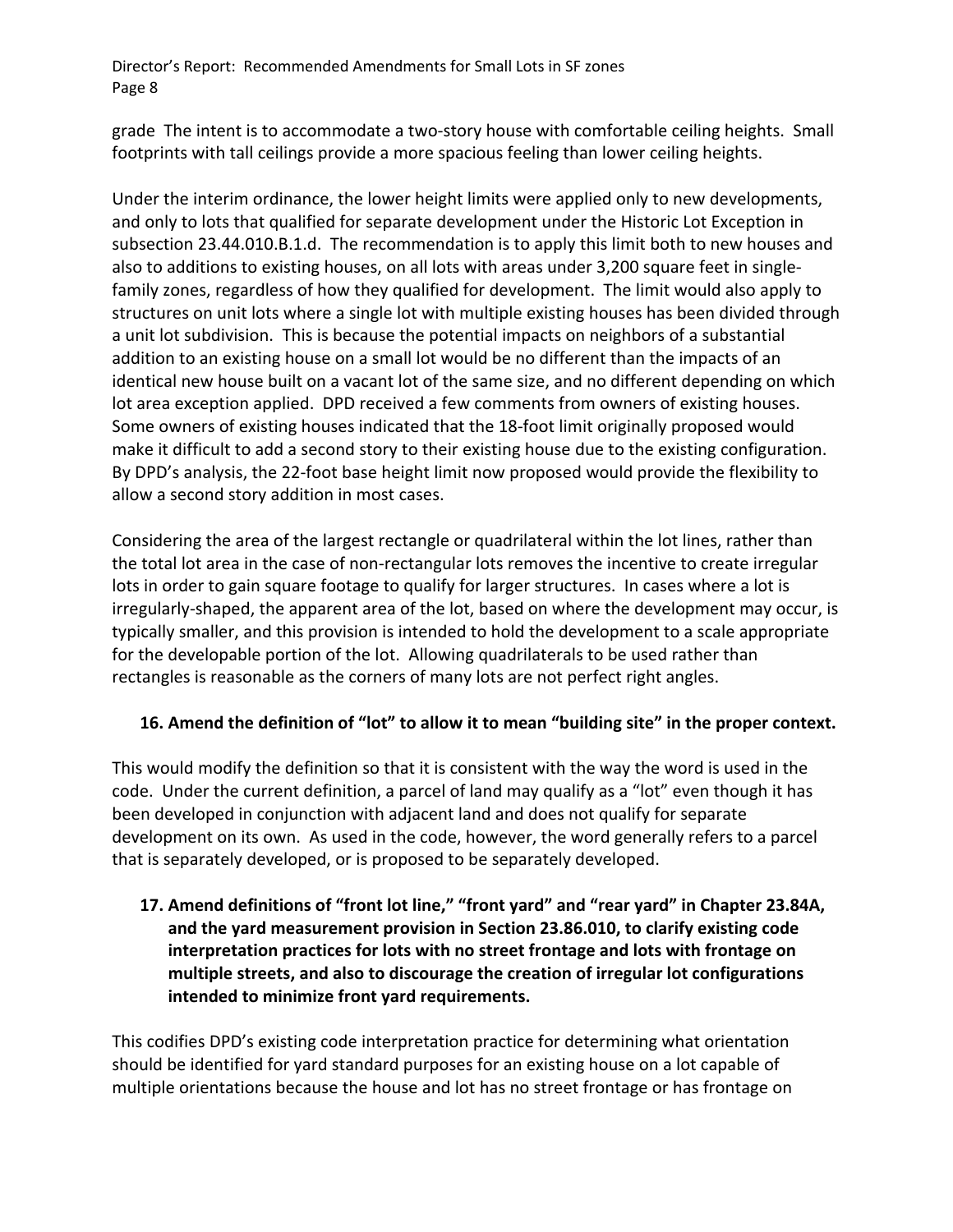grade The intent is to accommodate a two‐story house with comfortable ceiling heights. Small footprints with tall ceilings provide a more spacious feeling than lower ceiling heights.

Under the interim ordinance, the lower height limits were applied only to new developments, and only to lots that qualified for separate development under the Historic Lot Exception in subsection 23.44.010.B.1.d. The recommendation is to apply this limit both to new houses and also to additions to existing houses, on all lots with areas under 3,200 square feet in single‐ family zones, regardless of how they qualified for development. The limit would also apply to structures on unit lots where a single lot with multiple existing houses has been divided through a unit lot subdivision. This is because the potential impacts on neighbors of a substantial addition to an existing house on a small lot would be no different than the impacts of an identical new house built on a vacant lot of the same size, and no different depending on which lot area exception applied. DPD received a few comments from owners of existing houses. Some owners of existing houses indicated that the 18‐foot limit originally proposed would make it difficult to add a second story to their existing house due to the existing configuration. By DPD's analysis, the 22‐foot base height limit now proposed would provide the flexibility to allow a second story addition in most cases.

Considering the area of the largest rectangle or quadrilateral within the lot lines, rather than the total lot area in the case of non‐rectangular lots removes the incentive to create irregular lots in order to gain square footage to qualify for larger structures. In cases where a lot is irregularly‐shaped, the apparent area of the lot, based on where the development may occur, is typically smaller, and this provision is intended to hold the development to a scale appropriate for the developable portion of the lot. Allowing quadrilaterals to be used rather than rectangles is reasonable as the corners of many lots are not perfect right angles.

#### **16. Amend the definition of "lot" to allow it to mean "building site" in the proper context.**

This would modify the definition so that it is consistent with the way the word is used in the code. Under the current definition, a parcel of land may qualify as a "lot" even though it has been developed in conjunction with adjacent land and does not qualify for separate development on its own. As used in the code, however, the word generally refers to a parcel that is separately developed, or is proposed to be separately developed.

**17. Amend definitions of "front lot line," "front yard" and "rear yard" in Chapter 23.84A, and the yard measurement provision in Section 23.86.010, to clarify existing code interpretation practices for lots with no street frontage and lots with frontage on multiple streets, and also to discourage the creation of irregular lot configurations intended to minimize front yard requirements.**

This codifies DPD's existing code interpretation practice for determining what orientation should be identified for yard standard purposes for an existing house on a lot capable of multiple orientations because the house and lot has no street frontage or has frontage on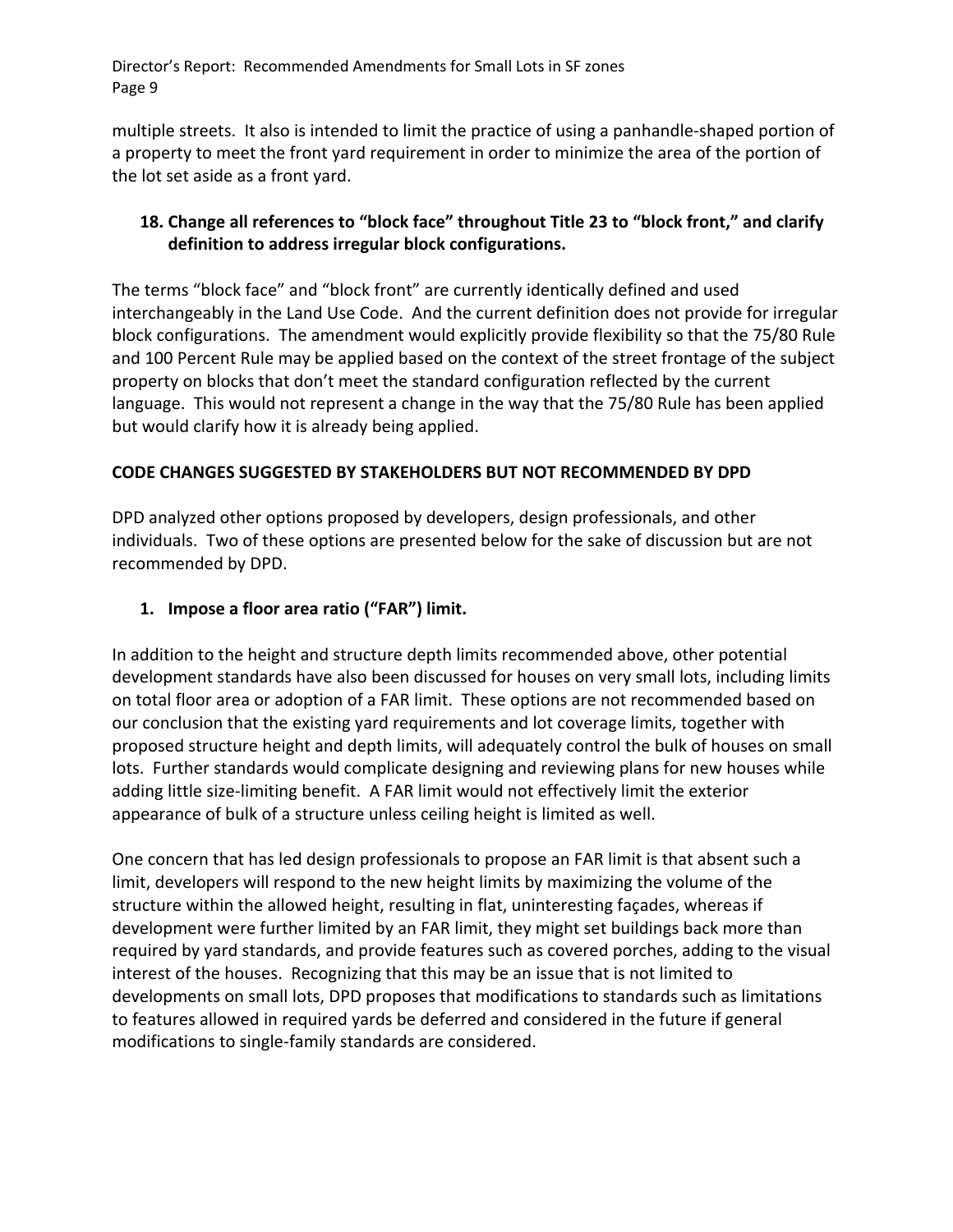multiple streets. It also is intended to limit the practice of using a panhandle‐shaped portion of a property to meet the front yard requirement in order to minimize the area of the portion of the lot set aside as a front yard.

# **18. Change all references to "block face" throughout Title 23 to "block front," and clarify definition to address irregular block configurations.**

The terms "block face" and "block front" are currently identically defined and used interchangeably in the Land Use Code. And the current definition does not provide for irregular block configurations. The amendment would explicitly provide flexibility so that the 75/80 Rule and 100 Percent Rule may be applied based on the context of the street frontage of the subject property on blocks that don't meet the standard configuration reflected by the current language. This would not represent a change in the way that the 75/80 Rule has been applied but would clarify how it is already being applied.

#### **CODE CHANGES SUGGESTED BY STAKEHOLDERS BUT NOT RECOMMENDED BY DPD**

DPD analyzed other options proposed by developers, design professionals, and other individuals. Two of these options are presented below for the sake of discussion but are not recommended by DPD.

# **1. Impose a floor area ratio ("FAR") limit.**

In addition to the height and structure depth limits recommended above, other potential development standards have also been discussed for houses on very small lots, including limits on total floor area or adoption of a FAR limit. These options are not recommended based on our conclusion that the existing yard requirements and lot coverage limits, together with proposed structure height and depth limits, will adequately control the bulk of houses on small lots. Further standards would complicate designing and reviewing plans for new houses while adding little size‐limiting benefit. A FAR limit would not effectively limit the exterior appearance of bulk of a structure unless ceiling height is limited as well.

One concern that has led design professionals to propose an FAR limit is that absent such a limit, developers will respond to the new height limits by maximizing the volume of the structure within the allowed height, resulting in flat, uninteresting façades, whereas if development were further limited by an FAR limit, they might set buildings back more than required by yard standards, and provide features such as covered porches, adding to the visual interest of the houses. Recognizing that this may be an issue that is not limited to developments on small lots, DPD proposes that modifications to standards such as limitations to features allowed in required yards be deferred and considered in the future if general modifications to single‐family standards are considered.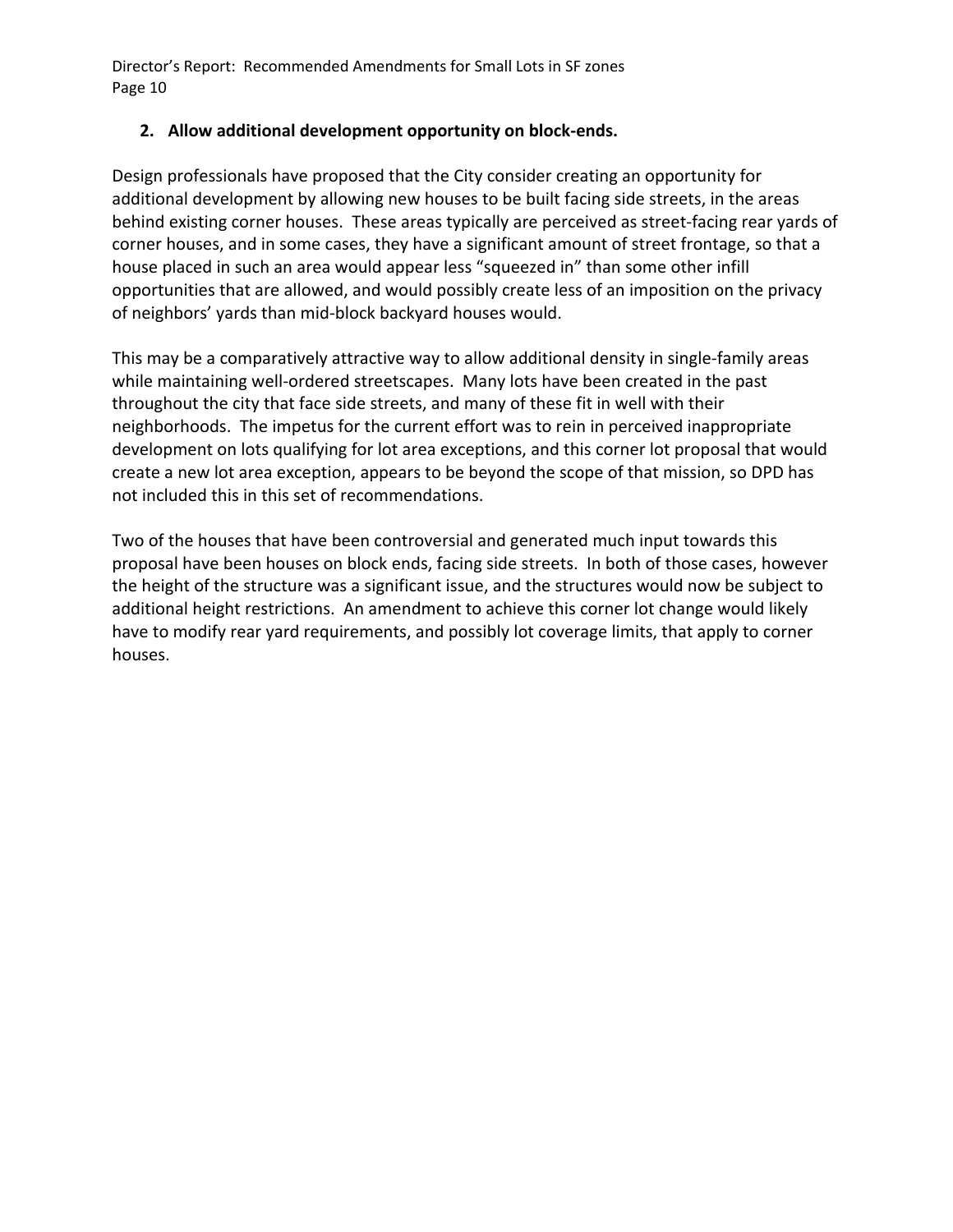#### **2. Allow additional development opportunity on block‐ends.**

Design professionals have proposed that the City consider creating an opportunity for additional development by allowing new houses to be built facing side streets, in the areas behind existing corner houses. These areas typically are perceived as street‐facing rear yards of corner houses, and in some cases, they have a significant amount of street frontage, so that a house placed in such an area would appear less "squeezed in" than some other infill opportunities that are allowed, and would possibly create less of an imposition on the privacy of neighbors' yards than mid‐block backyard houses would.

This may be a comparatively attractive way to allow additional density in single‐family areas while maintaining well-ordered streetscapes. Many lots have been created in the past throughout the city that face side streets, and many of these fit in well with their neighborhoods. The impetus for the current effort was to rein in perceived inappropriate development on lots qualifying for lot area exceptions, and this corner lot proposal that would create a new lot area exception, appears to be beyond the scope of that mission, so DPD has not included this in this set of recommendations.

Two of the houses that have been controversial and generated much input towards this proposal have been houses on block ends, facing side streets. In both of those cases, however the height of the structure was a significant issue, and the structures would now be subject to additional height restrictions. An amendment to achieve this corner lot change would likely have to modify rear yard requirements, and possibly lot coverage limits, that apply to corner houses.